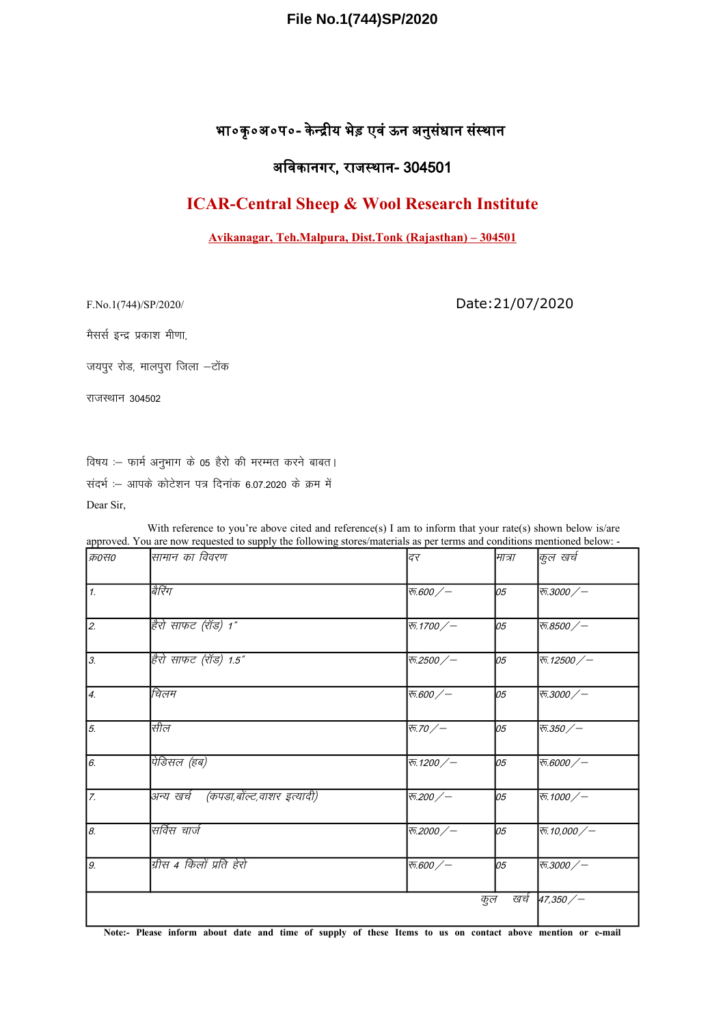### File No.1(744)SP/2020

# भा०कृ०अ०प०- केन्द्रीय भेड़ एवं ऊन अनुसंधान संस्थान

## अविकानगर, राजस्थान- 304501

# **ICAR-Central Sheep & Wool Research Institute**

#### Avikanagar, Teh.Malpura, Dist.Tonk (Rajasthan) – 304501

F.No.1(744)/SP/2020/

Date: 21/07/2020

मैसर्स इन्द्र प्रकाश मीणा,

जयपुर रोड, मालपुरा जिला -टोंक

राजस्थान 304502

विषय :- फार्म अनुभाग के 05 हैरो की मरम्मत करने बाबत। संदर्भ :- आपके कोटेशन पत्र दिनांक 6.07.2020 के क्रम में

Dear Sir,

With reference to you're above cited and reference(s) I am to inform that your rate(s) shown below is/are approved. You are now requested to supply the following stores/materials as per terms and conditions mentioned below: -

| क्र0स0           | सामान का विवरण                       | दर             | मात्रा      | कुल खर्च      |
|------------------|--------------------------------------|----------------|-------------|---------------|
| $\overline{1}$   | बैरिंग                               | क.600/-        | 05          | 丙.3000/一      |
| $\overline{2}$   | हैरो साफट (रॉड) 1"                   | रू.1700 /-     | 05          | रू.8500 /-    |
| $\overline{3}$ . | हैरो साफट (रॉड) 1.5"                 | 丙.2500/一       | 05          | रु. 12500 $/$ |
| $\overline{4}$ . | चिलम                                 | 丙.600/一        | 05          | 丙.3000/一      |
| $\overline{5}$   | सील                                  | रू.70 $/$      | 05          | रू.350 /-     |
| $\boxed{6}$      | पेडिसल (हब)                          | रु. 1200 $/$ – | 05          | 西.6000/一      |
| $\overline{z}$   | अन्य खर्च (कपडा,बोंल्ट,वाशर इत्यादी) | 丙.200/一        | 05          | रू. 1000/-    |
| $\overline{s}$ . | सर्विस चार्ज                         | 丙.2000/一       | 05          | रु.10,000 /-  |
| 9.               | ग्रीस 4 किलों प्रति हेरो             | रु.600 $/$     | 05          | 丙.3000/一      |
|                  |                                      |                | कुल<br>खर्च | 47,350/       |

Note:- Please inform about date and time of supply of these Items to us on contact above mention or e-mail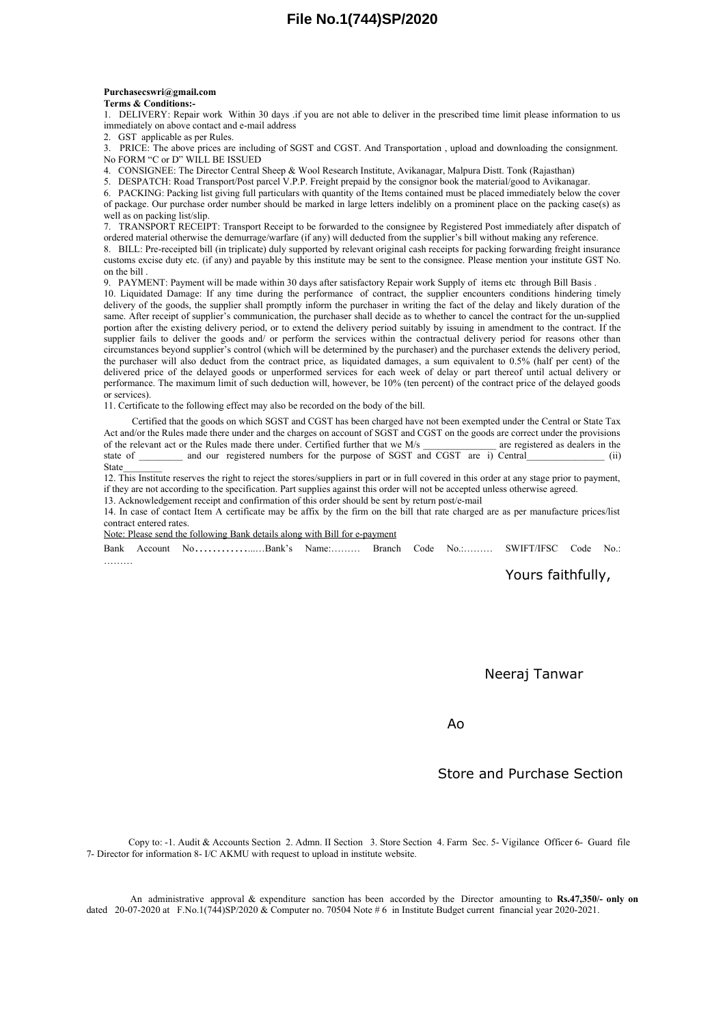#### **Purchasecswri@gmail.com Terms & Conditions:-**

1. DELIVERY: Repair work Within 30 days .if you are not able to deliver in the prescribed time limit please information to us immediately on above contact and e-mail address

2. GST applicable as per Rules.

3. PRICE: The above prices are including of SGST and CGST. And Transportation , upload and downloading the consignment. No FORM "C or D" WILL BE ISSUED

4. CONSIGNEE: The Director Central Sheep & Wool Research Institute, Avikanagar, Malpura Distt. Tonk (Rajasthan)

5. DESPATCH: Road Transport/Post parcel V.P.P. Freight prepaid by the consignor book the material/good to Avikanagar.

6. PACKING: Packing list giving full particulars with quantity of the Items contained must be placed immediately below the cover of package. Our purchase order number should be marked in large letters indelibly on a prominent place on the packing case(s) as well as on packing list/slip.

7. TRANSPORT RECEIPT: Transport Receipt to be forwarded to the consignee by Registered Post immediately after dispatch of ordered material otherwise the demurrage/warfare (if any) will deducted from the supplier's bill without making any reference.

8. BILL: Pre-receipted bill (in triplicate) duly supported by relevant original cash receipts for packing forwarding freight insurance customs excise duty etc. (if any) and payable by this institute may be sent to the consignee. Please mention your institute GST No. on the bill .

9. PAYMENT: Payment will be made within 30 days after satisfactory Repair work Supply of items etc through Bill Basis .

10. Liquidated Damage: If any time during the performance of contract, the supplier encounters conditions hindering timely delivery of the goods, the supplier shall promptly inform the purchaser in writing the fact of the delay and likely duration of the same. After receipt of supplier's communication, the purchaser shall decide as to whether to cancel the contract for the un-supplied portion after the existing delivery period, or to extend the delivery period suitably by issuing in amendment to the contract. If the supplier fails to deliver the goods and/ or perform the services within the contractual delivery period for reasons other than circumstances beyond supplier's control (which will be determined by the purchaser) and the purchaser extends the delivery period, the purchaser will also deduct from the contract price, as liquidated damages, a sum equivalent to 0.5% (half per cent) of the delivered price of the delayed goods or unperformed services for each week of delay or part thereof until actual delivery or performance. The maximum limit of such deduction will, however, be 10% (ten percent) of the contract price of the delayed goods or services).

11. Certificate to the following effect may also be recorded on the body of the bill.

Certified that the goods on which SGST and CGST has been charged have not been exempted under the Central or State Tax Act and/or the Rules made there under and the charges on account of SGST and CGST on the goods are correct under the provisions of the relevant act or the Rules made there under. Certified further that we M/s are registere of the relevant act or the Rules made there under. Certified further that we M/s state of \_\_\_\_\_\_ and our registered numbers for the purpose of SGST and CGST are i) Central (ii) State\_\_\_\_\_\_\_\_

12. This Institute reserves the right to reject the stores/suppliers in part or in full covered in this order at any stage prior to payment, if they are not according to the specification. Part supplies against this order will not be accepted unless otherwise agreed.

13. Acknowledgement receipt and confirmation of this order should be sent by return post/e-mail

14. In case of contact Item A certificate may be affix by the firm on the bill that rate charged are as per manufacture prices/list contract entered rates.

Note: Please send the following Bank details along with Bill for e-payment

Bank Account No…………...…Bank's Name:……… Branch Code No.:……… SWIFT/IFSC Code No.: ………

Yours faithfully,

Neeraj Tanwar

Ao

Store and Purchase Section

Copy to: -1. Audit & Accounts Section 2. Admn. II Section 3. Store Section 4. Farm Sec. 5- Vigilance Officer 6- Guard file 7- Director for information 8- I/C AKMU with request to upload in institute website.

An administrative approval & expenditure sanction has been accorded by the Director amounting to **Rs.47,350/- only on** dated 20-07-2020 at  $F.No.1(744)SP/2020$  & Computer no. 70504 Note #6 in Institute Budget current financial year 2020-2021.